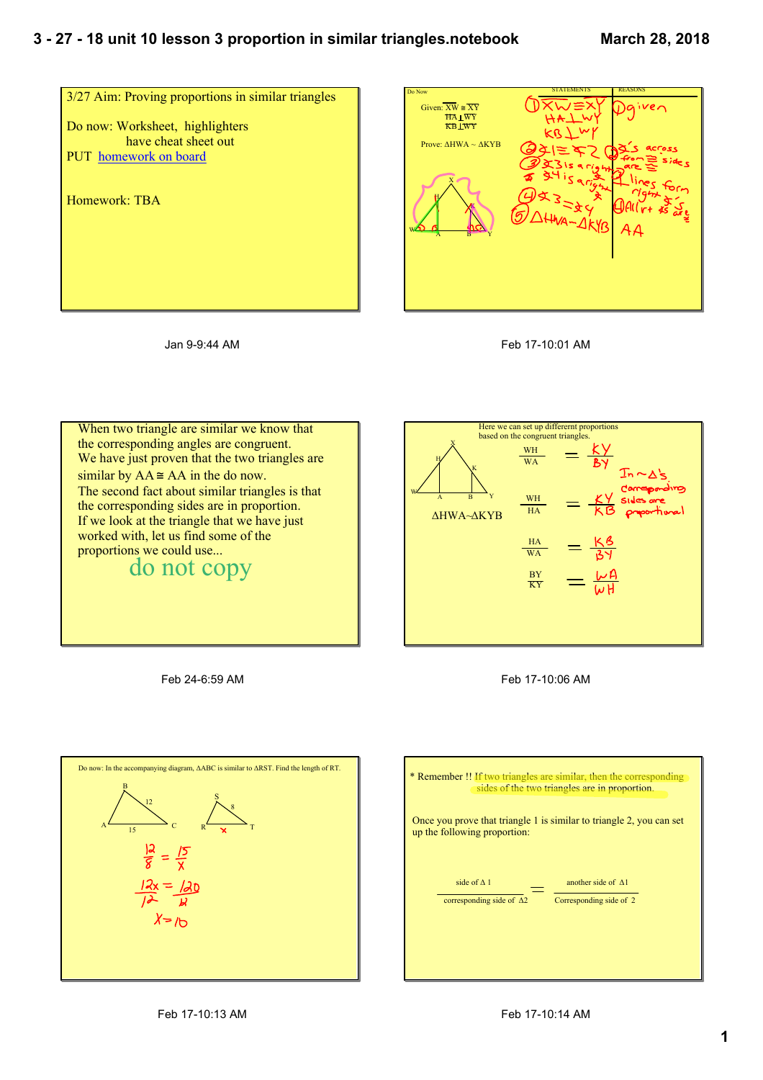## **3 27 18 unit 10 lesson 3 proportion in similar triangles.notebook**









When two triangle are similar we know that the corresponding angles are congruent. We have just proven that the two triangles are similar by  $AA \cong AA$  in the do now. The second fact about similar triangles is that the corresponding sides are in proportion. If we look at the triangle that we have just worked with, let us find some of the proportions we could use...<br>do not copy



Feb 17-10:06 AM

Feb 24-6:59 AM



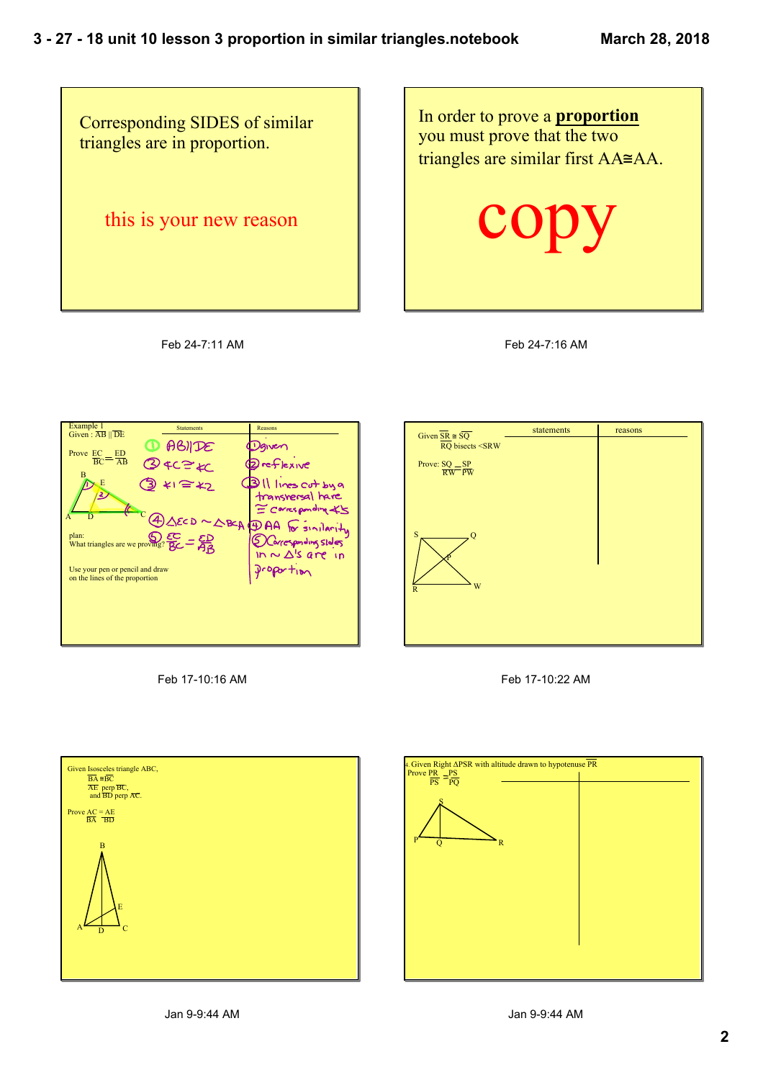

Feb 24-7:11 AM

In order to prove a **proportion** you must prove that the two triangles are similar first AA≅AA.

**COPy** 

Feb 24-7:16 AM

| Example 1<br>Given: $\overline{AB}$    $\overline{DE}$            | <b>Statements</b>                                                                                                                                                | Reasons                                                                                                                                                                     |
|-------------------------------------------------------------------|------------------------------------------------------------------------------------------------------------------------------------------------------------------|-----------------------------------------------------------------------------------------------------------------------------------------------------------------------------|
| Prove EC ED                                                       | $\bigcirc$ ABIDE                                                                                                                                                 | Vanen                                                                                                                                                                       |
| $BC = \overline{AB}$                                              | 24C= KC                                                                                                                                                          | <b>Dreflexive</b>                                                                                                                                                           |
| в<br>E                                                            | $41 = 42$<br>plan: $\mathbb{S}^{\mathbb{C}}$ = $\mathbb{S}^{\mathbb{D}}$<br>What triangles are we proving? $\mathbb{S}^{\mathbb{C}}$ = $\mathbb{S}^{\mathbb{D}}$ | <b>BILLINES Cut by a</b><br>transversal hare<br>= Carresponding X5<br>$SEDD \sim \triangle BCA$ (DAA for sinilarity<br>D Corresponding sloles<br>$In \sim \Delta$ 's are in |
| Use your pen or pencil and draw<br>on the lines of the proportion |                                                                                                                                                                  | $Dropor$ tion                                                                                                                                                               |
|                                                                   |                                                                                                                                                                  |                                                                                                                                                                             |
|                                                                   |                                                                                                                                                                  |                                                                                                                                                                             |
|                                                                   |                                                                                                                                                                  |                                                                                                                                                                             |

Feb 17-10:16 AM







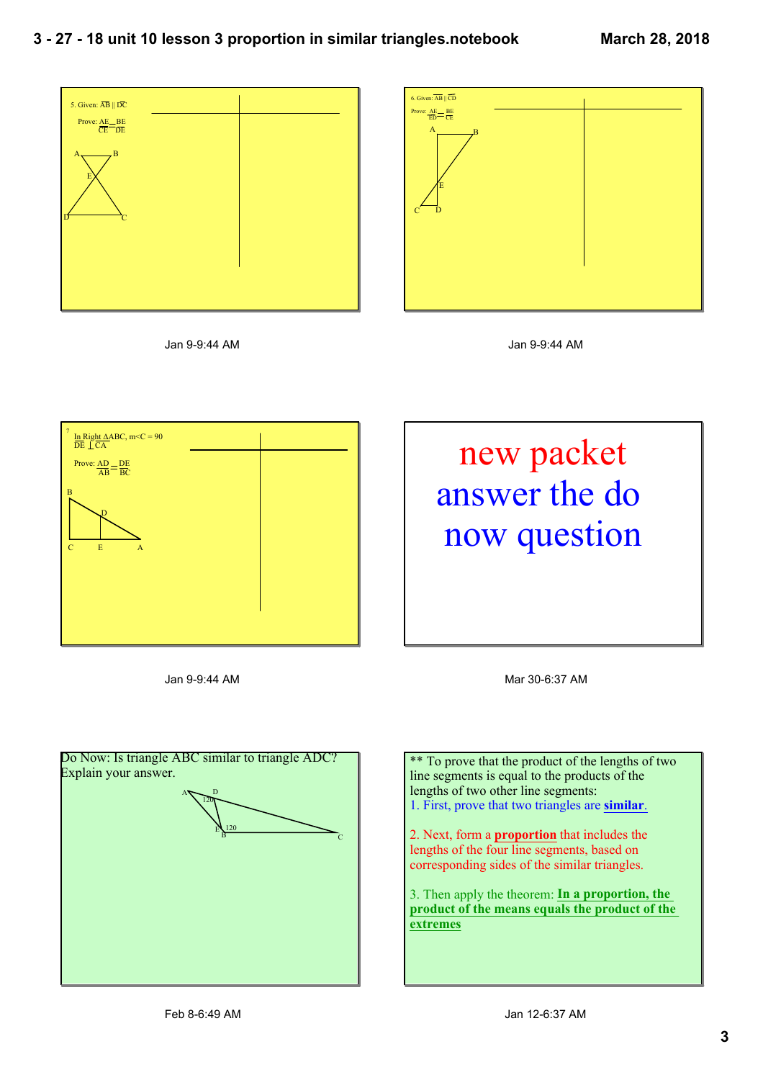

Jan 9-9:44 AM



Jan 9-9:44 AM



Jan 9-9:44 AM



Mar 30-6:37 AM



\*\* To prove that the product of the lengths of two line segments is equal to the products of the lengths of two other line segments: 1. First, prove that two triangles are **similar**.

2. Next, form a **proportion** that includes the lengths of the four line segments, based on corresponding sides of the similar triangles.

3. Then apply the theorem: **In a proportion, the product of the means equals the product of the extremes**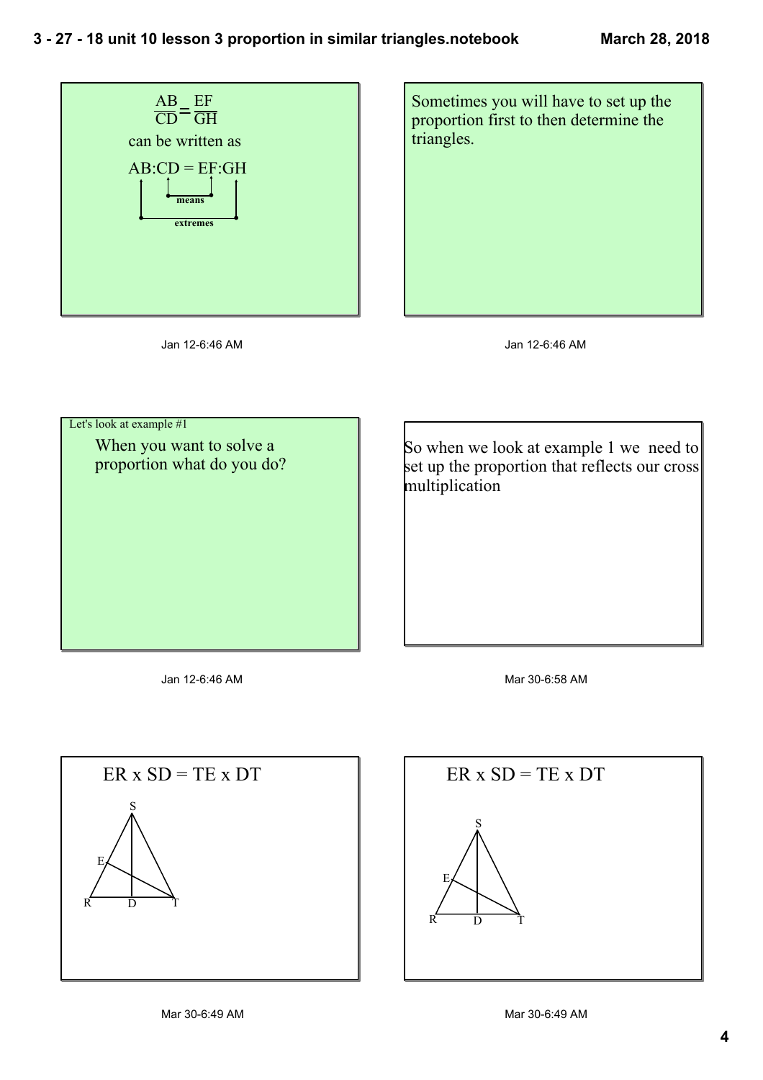





Jan 12-6:46 AM

 Let's look at example #1 When you want to solve a proportion what do you do?

So when we look at example 1 we need to set up the proportion that reflects our cross multiplication

Jan 12-6:46 AM

Mar 30-6:58 AM



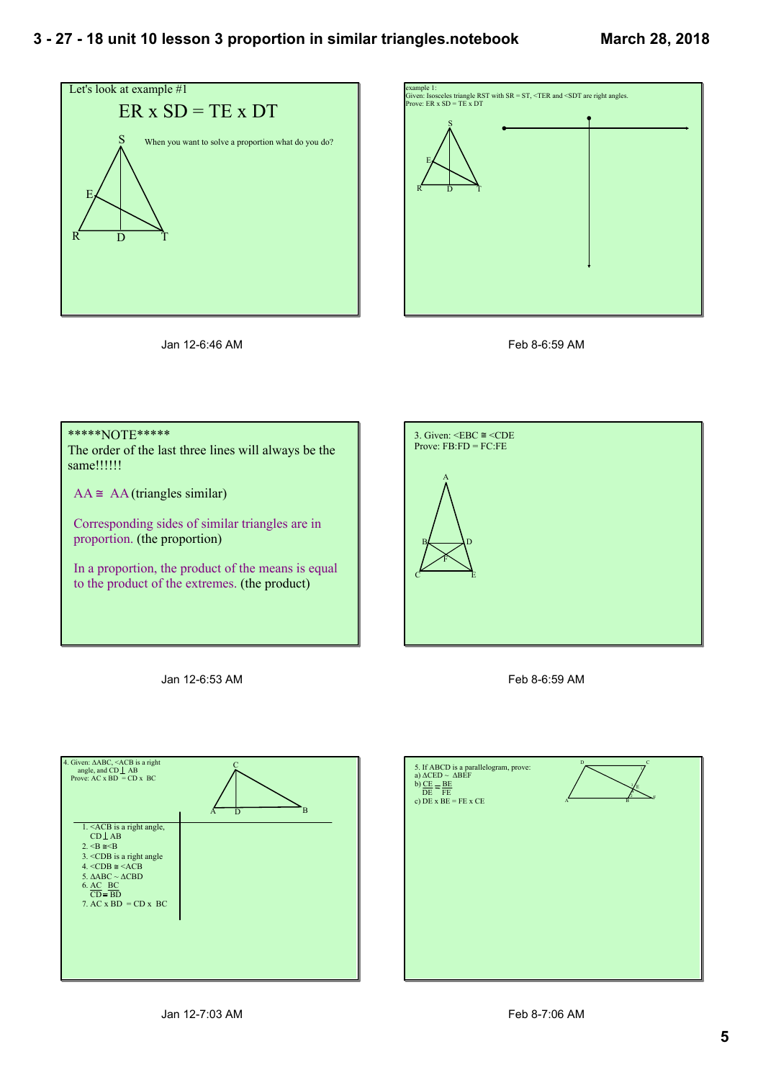







## \*\*\*\*\*NOTE\*\*\*\*\*

The order of the last three lines will always be the same!!!!!!

 $AA \cong AA$  (triangles similar)

Corresponding sides of similar triangles are in proportion. (the proportion)

In a proportion, the product of the means is equal to the product of the extremes. (the product)



Jan 12-6:53 AM





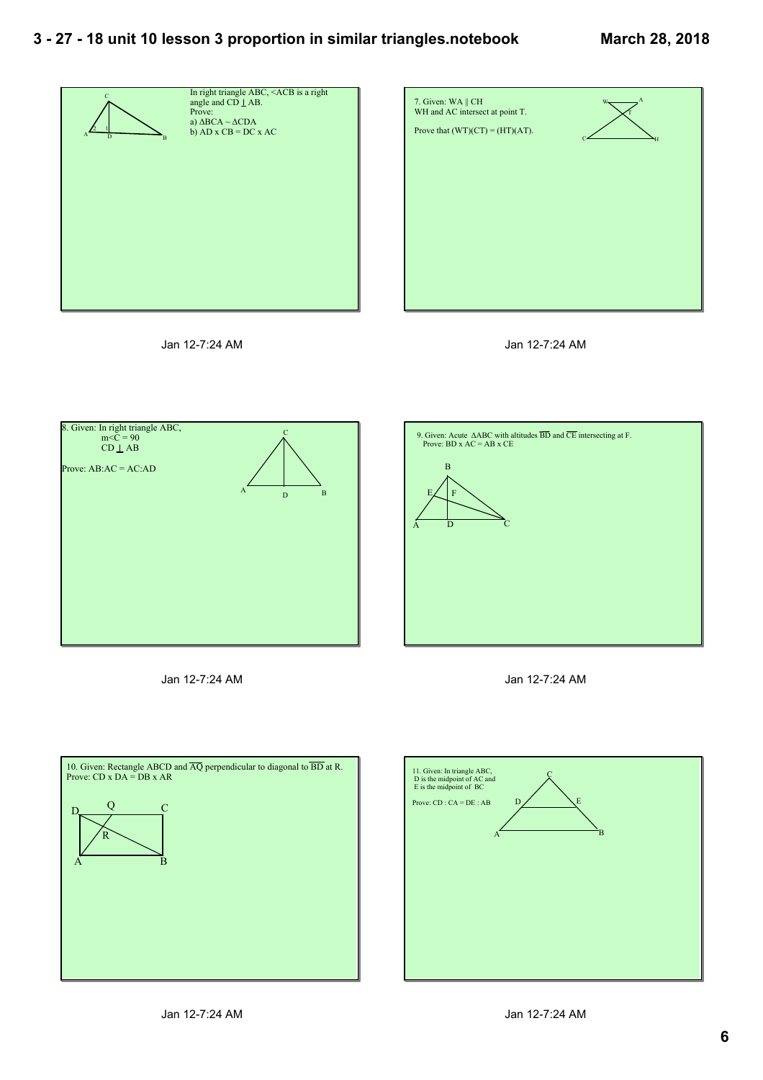## **3 27 18 unit 10 lesson 3 proportion in similar triangles.notebook**











Jan 12-7:24 AM